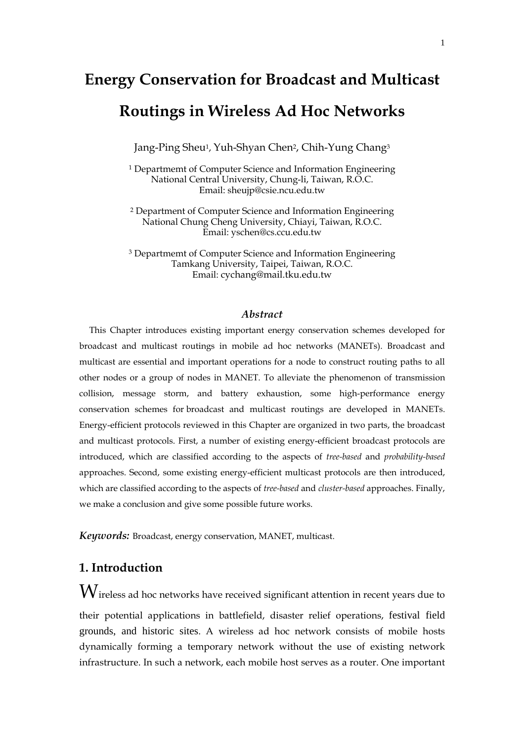# **Energy Conservation for Broadcast and Multicast Routings in Wireless Ad Hoc Networks**

Jang-Ping Sheu<sup>1</sup>, Yuh-Shyan Chen<sup>2</sup>, Chih-Yung Chang<sup>3</sup>

1 Departmemt of Computer Science and Information Engineering National Central University, Chung-li, Taiwan, R.O.C. Email: sheujp@csie.ncu.edu.tw

 2 Department of Computer Science and Information Engineering National Chung Cheng University, Chiayi, Taiwan, R.O.C. Email: yschen@cs.ccu.edu.tw

3 Departmemt of Computer Science and Information Engineering Tamkang University, Taipei, Taiwan, R.O.C. Email: cychang@mail.tku.edu.tw

## *Abstract*

This Chapter introduces existing important energy conservation schemes developed for broadcast and multicast routings in mobile ad hoc networks (MANETs). Broadcast and multicast are essential and important operations for a node to construct routing paths to all other nodes or a group of nodes in MANET. To alleviate the phenomenon of transmission collision, message storm, and battery exhaustion, some high-performance energy conservation schemes for broadcast and multicast routings are developed in MANETs. Energy-efficient protocols reviewed in this Chapter are organized in two parts, the broadcast and multicast protocols. First, a number of existing energy-efficient broadcast protocols are introduced, which are classified according to the aspects of *tree-based* and *probability-based*  approaches. Second, some existing energy-efficient multicast protocols are then introduced, which are classified according to the aspects of *tree-based* and *cluster-based* approaches. Finally, we make a conclusion and give some possible future works.

*Keywords:* Broadcast, energy conservation, MANET, multicast.

## **1. Introduction**

 $\rm W$ ireless ad hoc networks have received significant attention in recent years due to their potential applications in battlefield, disaster relief operations, festival field grounds, and historic sites. A wireless ad hoc network consists of mobile hosts dynamically forming a temporary network without the use of existing network infrastructure. In such a network, each mobile host serves as a router. One important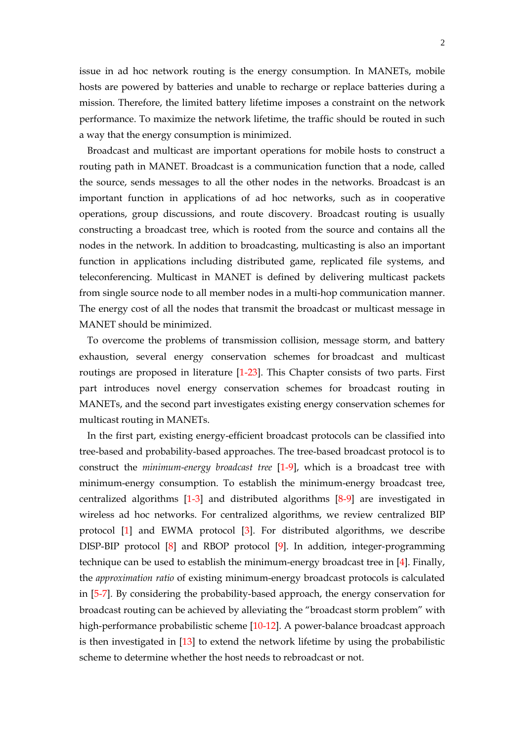issue in ad hoc network routing is the energy consumption. In MANETs, mobile hosts are powered by batteries and unable to recharge or replace batteries during a mission. Therefore, the limited battery lifetime imposes a constraint on the network performance. To maximize the network lifetime, the traffic should be routed in such a way that the energy consumption is minimized.

Broadcast and multicast are important operations for mobile hosts to construct a routing path in MANET. Broadcast is a communication function that a node, called the source, sends messages to all the other nodes in the networks. Broadcast is an important function in applications of ad hoc networks, such as in cooperative operations, group discussions, and route discovery. Broadcast routing is usually constructing a broadcast tree, which is rooted from the source and contains all the nodes in the network. In addition to broadcasting, multicasting is also an important function in applications including distributed game, replicated file systems, and teleconferencing. Multicast in MANET is defined by delivering multicast packets from single source node to all member nodes in a multi-hop communication manner. The energy cost of all the nodes that transmit the broadcast or multicast message in MANET should be minimized.

To overcome the problems of transmission collision, message storm, and battery exhaustion, several energy conservation schemes for broadcast and multicast routings are proposed in literature [1-23]. This Chapter consists of two parts. First part introduces novel energy conservation schemes for broadcast routing in MANETs, and the second part investigates existing energy conservation schemes for multicast routing in MANETs.

In the first part, existing energy-efficient broadcast protocols can be classified into tree-based and probability-based approaches. The tree-based broadcast protocol is to construct the *minimum-energy broadcast tree* [1-9], which is a broadcast tree with minimum-energy consumption. To establish the minimum-energy broadcast tree, centralized algorithms [1-3] and distributed algorithms [8-9] are investigated in wireless ad hoc networks. For centralized algorithms, we review centralized BIP protocol [1] and EWMA protocol [3]. For distributed algorithms, we describe DISP-BIP protocol [8] and RBOP protocol [9]. In addition, integer-programming technique can be used to establish the minimum-energy broadcast tree in [4]. Finally, the *approximation ratio* of existing minimum-energy broadcast protocols is calculated in [5-7]. By considering the probability-based approach, the energy conservation for broadcast routing can be achieved by alleviating the "broadcast storm problem" with high-performance probabilistic scheme [10-12]. A power-balance broadcast approach is then investigated in [13] to extend the network lifetime by using the probabilistic scheme to determine whether the host needs to rebroadcast or not.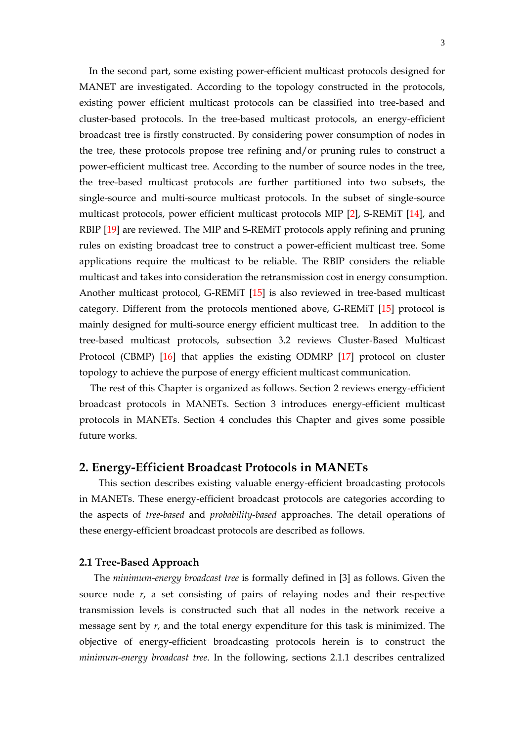In the second part, some existing power-efficient multicast protocols designed for MANET are investigated. According to the topology constructed in the protocols, existing power efficient multicast protocols can be classified into tree-based and cluster-based protocols. In the tree-based multicast protocols, an energy-efficient broadcast tree is firstly constructed. By considering power consumption of nodes in the tree, these protocols propose tree refining and/or pruning rules to construct a power-efficient multicast tree. According to the number of source nodes in the tree, the tree-based multicast protocols are further partitioned into two subsets, the single-source and multi-source multicast protocols. In the subset of single-source multicast protocols, power efficient multicast protocols MIP [2], S-REMiT [14], and RBIP [19] are reviewed. The MIP and S-REMiT protocols apply refining and pruning rules on existing broadcast tree to construct a power-efficient multicast tree. Some applications require the multicast to be reliable. The RBIP considers the reliable multicast and takes into consideration the retransmission cost in energy consumption. Another multicast protocol, G-REMiT [15] is also reviewed in tree-based multicast category. Different from the protocols mentioned above, G-REMiT [15] protocol is mainly designed for multi-source energy efficient multicast tree. In addition to the tree-based multicast protocols, subsection 3.2 reviews Cluster-Based Multicast Protocol (CBMP) [16] that applies the existing ODMRP [17] protocol on cluster topology to achieve the purpose of energy efficient multicast communication.

The rest of this Chapter is organized as follows. Section 2 reviews energy-efficient broadcast protocols in MANETs. Section 3 introduces energy-efficient multicast protocols in MANETs. Section 4 concludes this Chapter and gives some possible future works.

## **2. Energy-Efficient Broadcast Protocols in MANETs**

 This section describes existing valuable energy-efficient broadcasting protocols in MANETs. These energy-efficient broadcast protocols are categories according to the aspects of *tree-based* and *probability-based* approaches. The detail operations of these energy-efficient broadcast protocols are described as follows.

## **2.1 Tree-Based Approach**

The *minimum-energy broadcast tree* is formally defined in [3] as follows. Given the source node *r*, a set consisting of pairs of relaying nodes and their respective transmission levels is constructed such that all nodes in the network receive a message sent by *r*, and the total energy expenditure for this task is minimized. The objective of energy-efficient broadcasting protocols herein is to construct the *minimum-energy broadcast tree*. In the following, sections 2.1.1 describes centralized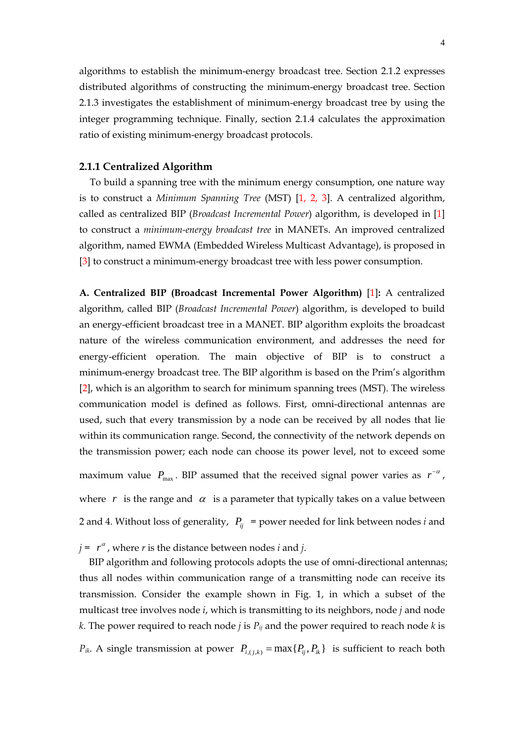algorithms to establish the minimum-energy broadcast tree. Section 2.1.2 expresses distributed algorithms of constructing the minimum-energy broadcast tree. Section 2.1.3 investigates the establishment of minimum-energy broadcast tree by using the integer programming technique. Finally, section 2.1.4 calculates the approximation ratio of existing minimum-energy broadcast protocols.

## **2.1.1 Centralized Algorithm**

To build a spanning tree with the minimum energy consumption, one nature way is to construct a *Minimum Spanning Tree* (MST) [1, 2, 3]. A centralized algorithm, called as centralized BIP (*Broadcast Incremental Power*) algorithm, is developed in [1] to construct a *minimum-energy broadcast tree* in MANETs. An improved centralized algorithm, named EWMA (Embedded Wireless Multicast Advantage), is proposed in [3] to construct a minimum-energy broadcast tree with less power consumption.

**A. Centralized BIP (Broadcast Incremental Power Algorithm)** [1]**:** A centralized algorithm, called BIP (*Broadcast Incremental Power*) algorithm, is developed to build an energy-efficient broadcast tree in a MANET. BIP algorithm exploits the broadcast nature of the wireless communication environment, and addresses the need for energy-efficient operation. The main objective of BIP is to construct a minimum-energy broadcast tree. The BIP algorithm is based on the Prim's algorithm [2], which is an algorithm to search for minimum spanning trees (MST). The wireless communication model is defined as follows. First, omni-directional antennas are used, such that every transmission by a node can be received by all nodes that lie within its communication range. Second, the connectivity of the network depends on the transmission power; each node can choose its power level, not to exceed some maximum value  $P_{\text{max}}$ . BIP assumed that the received signal power varies as  $r^{-\alpha}$ ,

where  $r$  is the range and  $\alpha$  is a parameter that typically takes on a value between 2 and 4. Without loss of generality,  $P_{ij}$  = power needed for link between nodes *i* and

 $j = r^{\alpha}$ , where *r* is the distance between nodes *i* and *j*.

BIP algorithm and following protocols adopts the use of omni-directional antennas; thus all nodes within communication range of a transmitting node can receive its transmission. Consider the example shown in Fig. 1, in which a subset of the multicast tree involves node *i*, which is transmitting to its neighbors, node *j* and node *k*. The power required to reach node *j* is  $P_{ij}$  and the power required to reach node *k* is  $P_{ik}$ . A single transmission at power  $P_{i,(i,k)} = \max\{P_{ii}, P_{ik}\}\$ is sufficient to reach both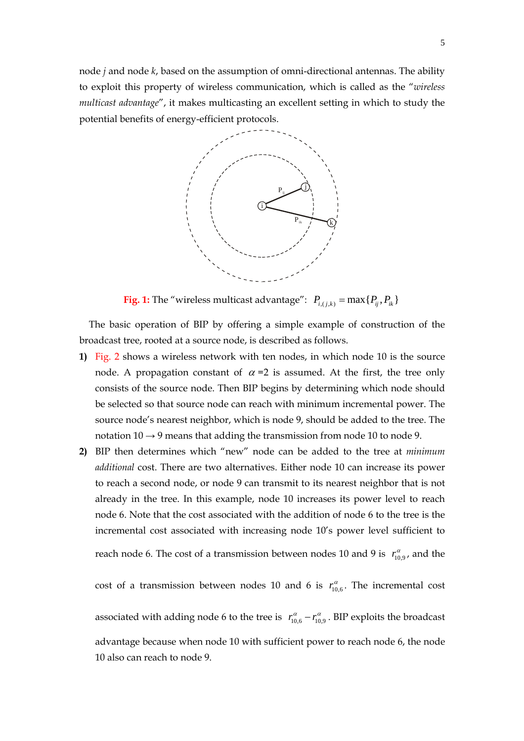node *j* and node *k*, based on the assumption of omni-directional antennas. The ability to exploit this property of wireless communication, which is called as the "*wireless multicast advantage*", it makes multicasting an excellent setting in which to study the potential benefits of energy-efficient protocols.



**Fig. 1:** The "wireless multicast advantage":  $P_{i,(j,k)} = \max\{P_{ij}, P_{ik}\}$ 

The basic operation of BIP by offering a simple example of construction of the broadcast tree, rooted at a source node, is described as follows.

- **1)** Fig. 2 shows a wireless network with ten nodes, in which node 10 is the source node. A propagation constant of  $\alpha$  =2 is assumed. At the first, the tree only consists of the source node. Then BIP begins by determining which node should be selected so that source node can reach with minimum incremental power. The source node's nearest neighbor, which is node 9, should be added to the tree. The notation  $10 \rightarrow 9$  means that adding the transmission from node 10 to node 9.
- **2)** BIP then determines which "new" node can be added to the tree at *minimum additional* cost. There are two alternatives. Either node 10 can increase its power to reach a second node, or node 9 can transmit to its nearest neighbor that is not already in the tree. In this example, node 10 increases its power level to reach node 6. Note that the cost associated with the addition of node 6 to the tree is the incremental cost associated with increasing node 10's power level sufficient to

reach node 6. The cost of a transmission between nodes 10 and 9 is 
$$
r_{10,9}^{\alpha}
$$
, and the

cost of a transmission between nodes 10 and 6 is  $r_{10,6}^{\alpha}$ . The incremental cost

associated with adding node 6 to the tree is  $r_{10,6}^{\alpha} - r_{10,9}^{\alpha}$ . BIP exploits the broadcast advantage because when node 10 with sufficient power to reach node 6, the node 10 also can reach to node 9.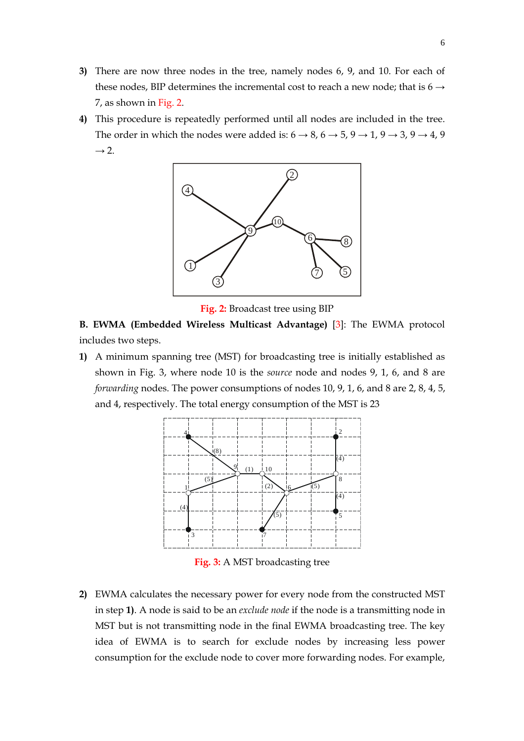- **3)** There are now three nodes in the tree, namely nodes 6, 9, and 10. For each of these nodes, BIP determines the incremental cost to reach a new node; that is  $6 \rightarrow$ 7, as shown in Fig. 2.
- **4)** This procedure is repeatedly performed until all nodes are included in the tree. The order in which the nodes were added is:  $6 \rightarrow 8$ ,  $6 \rightarrow 5$ ,  $9 \rightarrow 1$ ,  $9 \rightarrow 3$ ,  $9 \rightarrow 4$ ,  $9$  $\rightarrow$  2.



**Fig. 2:** Broadcast tree using BIP

**B. EWMA (Embedded Wireless Multicast Advantage)** [3]: The EWMA protocol includes two steps.

**1)** A minimum spanning tree (MST) for broadcasting tree is initially established as shown in Fig. 3, where node 10 is the *source* node and nodes 9, 1, 6, and 8 are *forwarding* nodes. The power consumptions of nodes 10, 9, 1, 6, and 8 are 2, 8, 4, 5, and 4, respectively. The total energy consumption of the MST is 23



**Fig. 3:** A MST broadcasting tree

**2)** EWMA calculates the necessary power for every node from the constructed MST in step **1)**. A node is said to be an *exclude node* if the node is a transmitting node in MST but is not transmitting node in the final EWMA broadcasting tree. The key idea of EWMA is to search for exclude nodes by increasing less power consumption for the exclude node to cover more forwarding nodes. For example,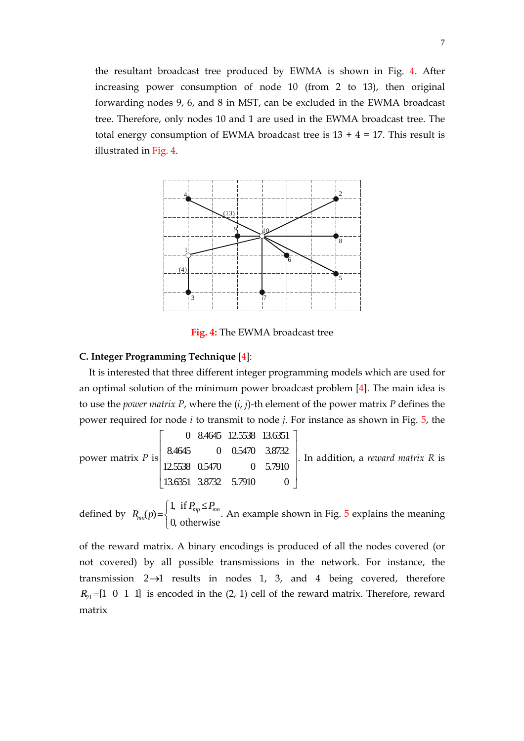the resultant broadcast tree produced by EWMA is shown in Fig. 4. After increasing power consumption of node 10 (from 2 to 13), then original forwarding nodes 9, 6, and 8 in MST, can be excluded in the EWMA broadcast tree. Therefore, only nodes 10 and 1 are used in the EWMA broadcast tree. The total energy consumption of EWMA broadcast tree is  $13 + 4 = 17$ . This result is illustrated in Fig. 4.



**Fig. 4:** The EWMA broadcast tree

## **C. Integer Programming Technique** [4]:

It is interested that three different integer programming models which are used for an optimal solution of the minimum power broadcast problem [4]. The main idea is to use the *power matrix P*, where the (*i*, *j*)-th element of the power matrix *P* defines the power required for node *i* to transmit to node *j*. For instance as shown in Fig. 5, the

power matrix *P* is\n
$$
\begin{bmatrix}\n0 & 8.4645 & 12.5538 & 13.6351 \\
8.4645 & 0 & 0.5470 & 3.8732 \\
12.5538 & 0.5470 & 0 & 5.7910 \\
13.6351 & 3.8732 & 5.7910 & 0\n\end{bmatrix}
$$
. In addition, a *reward matrix R* is

defined by  $\overline{a}$  $P_{mn}(p) = \begin{cases} 1, & \text{if } P_{mp} \leq P_{mn} \\ 0, & \text{otherwise} \end{cases}$  $P_{mn} \leq P_n$  $R_{mn}(p) = \left\{ \begin{array}{ccc} m & m & m \\ m & m & m \end{array} \right.$  An example shown in Fig. 5 explains the meaning

of the reward matrix. A binary encodings is produced of all the nodes covered (or not covered) by all possible transmissions in the network. For instance, the transmission 2→1 results in nodes 1, 3, and 4 being covered, therefore  $R_{21}$  = [1 0 1 1] is encoded in the (2, 1) cell of the reward matrix. Therefore, reward matrix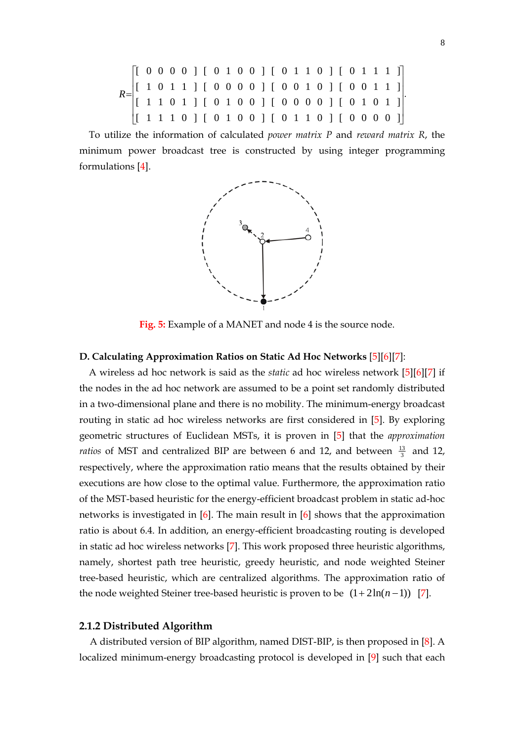$$
R = \begin{bmatrix} [ & 0 & 0 & 0 & 0 & ] & [ & 0 & 1 & 0 & 0 & ] & [ & 0 & 1 & 1 & 0 & ] & [ & 0 & 1 & 1 & 1 & 1] \\ [ & 1 & 0 & 1 & 1 & ] & [ & 0 & 0 & 0 & 0 & ] & [ & 0 & 0 & 1 & 0 & ] & [ & 0 & 0 & 1 & 1 & 1] \\ [ & 1 & 1 & 0 & 1 & ] & [ & 0 & 1 & 0 & 0 & ] & [ & 0 & 0 & 0 & 0 & ] & [ & 0 & 1 & 0 & 1 & 1] \\ [ & 1 & 1 & 1 & 0 & ] & [ & 0 & 1 & 0 & 0 & ] & [ & 0 & 1 & 1 & 0 & ] & [ & 0 & 0 & 0 & 0 & ] \end{bmatrix}.
$$

To utilize the information of calculated *power matrix P* and *reward matrix R*, the minimum power broadcast tree is constructed by using integer programming formulations [4].



**Fig. 5:** Example of a MANET and node 4 is the source node.

## **D. Calculating Approximation Ratios on Static Ad Hoc Networks** [5][6][7]:

A wireless ad hoc network is said as the *static* ad hoc wireless network [5][6][7] if the nodes in the ad hoc network are assumed to be a point set randomly distributed in a two-dimensional plane and there is no mobility. The minimum-energy broadcast routing in static ad hoc wireless networks are first considered in [5]. By exploring geometric structures of Euclidean MSTs, it is proven in [5] that the *approximation ratios* of MST and centralized BIP are between 6 and 12, and between  $\frac{13}{3}$  and 12, respectively, where the approximation ratio means that the results obtained by their executions are how close to the optimal value. Furthermore, the approximation ratio of the MST-based heuristic for the energy-efficient broadcast problem in static ad-hoc networks is investigated in [6]. The main result in [6] shows that the approximation ratio is about 6.4. In addition, an energy-efficient broadcasting routing is developed in static ad hoc wireless networks [7]. This work proposed three heuristic algorithms, namely, shortest path tree heuristic, greedy heuristic, and node weighted Steiner tree-based heuristic, which are centralized algorithms. The approximation ratio of the node weighted Steiner tree-based heuristic is proven to be  $(1 + 2\ln(n-1))$  [7].

## **2.1.2 Distributed Algorithm**

A distributed version of BIP algorithm, named DIST-BIP, is then proposed in [8]. A localized minimum-energy broadcasting protocol is developed in [9] such that each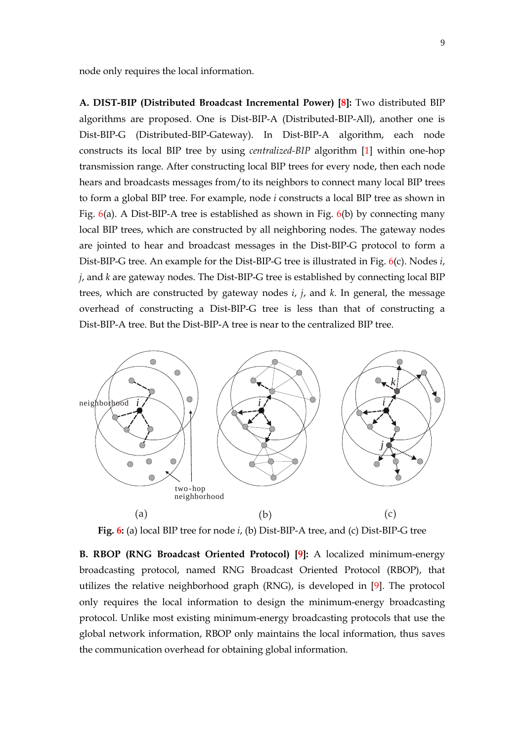node only requires the local information.

**A. DIST-BIP (Distributed Broadcast Incremental Power) [8]:** Two distributed BIP algorithms are proposed. One is Dist-BIP-A (Distributed-BIP-All), another one is Dist-BIP-G (Distributed-BIP-Gateway). In Dist-BIP-A algorithm, each node constructs its local BIP tree by using *centralized-BIP* algorithm [1] within one-hop transmission range. After constructing local BIP trees for every node, then each node hears and broadcasts messages from/to its neighbors to connect many local BIP trees to form a global BIP tree. For example, node *i* constructs a local BIP tree as shown in Fig. 6(a). A Dist-BIP-A tree is established as shown in Fig. 6(b) by connecting many local BIP trees, which are constructed by all neighboring nodes. The gateway nodes are jointed to hear and broadcast messages in the Dist-BIP-G protocol to form a Dist-BIP-G tree. An example for the Dist-BIP-G tree is illustrated in Fig. 6(c). Nodes *i*, *j*, and *k* are gateway nodes. The Dist-BIP-G tree is established by connecting local BIP trees, which are constructed by gateway nodes *i*, *j*, and *k.* In general, the message overhead of constructing a Dist-BIP-G tree is less than that of constructing a Dist-BIP-A tree. But the Dist-BIP-A tree is near to the centralized BIP tree.



**Fig. 6:** (a) local BIP tree for node *i*, (b) Dist-BIP-A tree, and (c) Dist-BIP-G tree

**B. RBOP (RNG Broadcast Oriented Protocol) [9]:** A localized minimum-energy broadcasting protocol, named RNG Broadcast Oriented Protocol (RBOP), that utilizes the relative neighborhood graph (RNG), is developed in [9]. The protocol only requires the local information to design the minimum-energy broadcasting protocol. Unlike most existing minimum-energy broadcasting protocols that use the global network information, RBOP only maintains the local information, thus saves the communication overhead for obtaining global information.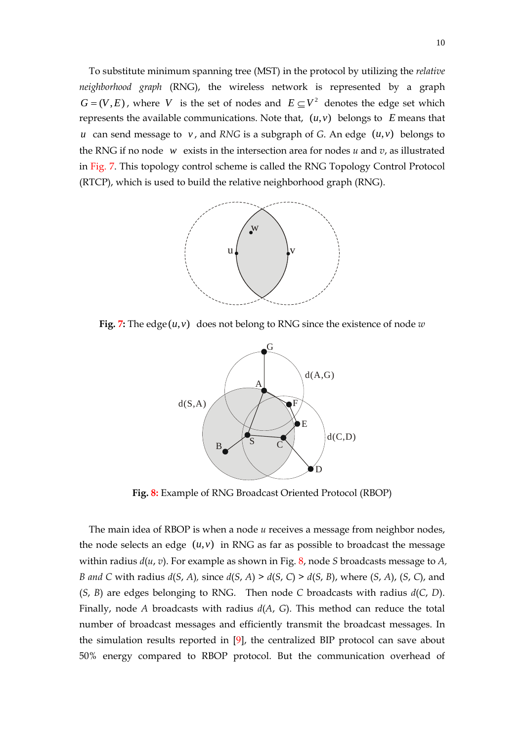To substitute minimum spanning tree (MST) in the protocol by utilizing the *relative neighborhood graph* (RNG), the wireless network is represented by a graph  $G = (V, E)$ , where *V* is the set of nodes and  $E \subseteq V^2$  denotes the edge set which represents the available communications. Note that,  $(u, v)$  belongs to *E* means that *u* can send message to *v*, and *RNG* is a subgraph of *G*. An edge  $(u, v)$  belongs to the RNG if no node *w* exists in the intersection area for nodes  $u$  and  $v$ , as illustrated in Fig. 7. This topology control scheme is called the RNG Topology Control Protocol (RTCP), which is used to build the relative neighborhood graph (RNG).



**Fig. 7:** The edge  $(u, v)$  does not belong to RNG since the existence of node *w* 



**Fig. 8:** Example of RNG Broadcast Oriented Protocol (RBOP)

The main idea of RBOP is when a node *u* receives a message from neighbor nodes, the node selects an edge  $(u,v)$  in RNG as far as possible to broadcast the message within radius *d*(*u*, *v*). For example as shown in Fig. 8, node *S* broadcasts message to *A, B and C* with radius *d*(*S*, *A*)*,* since *d*(*S*, *A*) > *d*(*S*, *C*) > *d*(*S*, *B*), where (*S*, *A*), (*S*, *C*), and (*S*, *B*) are edges belonging to RNG. Then node *C* broadcasts with radius *d*(*C*, *D*). Finally, node *A* broadcasts with radius *d*(*A*, *G*). This method can reduce the total number of broadcast messages and efficiently transmit the broadcast messages. In the simulation results reported in [9], the centralized BIP protocol can save about 50% energy compared to RBOP protocol. But the communication overhead of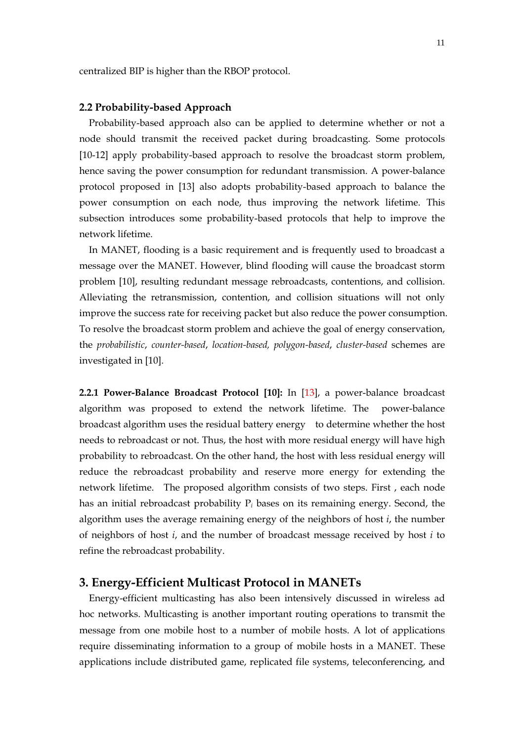centralized BIP is higher than the RBOP protocol.

## **2.2 Probability-based Approach**

Probability-based approach also can be applied to determine whether or not a node should transmit the received packet during broadcasting. Some protocols [10-12] apply probability-based approach to resolve the broadcast storm problem, hence saving the power consumption for redundant transmission. A power-balance protocol proposed in [13] also adopts probability-based approach to balance the power consumption on each node, thus improving the network lifetime. This subsection introduces some probability-based protocols that help to improve the network lifetime.

In MANET, flooding is a basic requirement and is frequently used to broadcast a message over the MANET. However, blind flooding will cause the broadcast storm problem [10], resulting redundant message rebroadcasts, contentions, and collision. Alleviating the retransmission, contention, and collision situations will not only improve the success rate for receiving packet but also reduce the power consumption. To resolve the broadcast storm problem and achieve the goal of energy conservation, the *probabilistic*, *counter-based*, *location-based, polygon-based*, *cluster-based* schemes are investigated in [10].

**2.2.1 Power-Balance Broadcast Protocol [10]:** In [13], a power-balance broadcast algorithm was proposed to extend the network lifetime. The power-balance broadcast algorithm uses the residual battery energy to determine whether the host needs to rebroadcast or not. Thus, the host with more residual energy will have high probability to rebroadcast. On the other hand, the host with less residual energy will reduce the rebroadcast probability and reserve more energy for extending the network lifetime. The proposed algorithm consists of two steps. First , each node has an initial rebroadcast probability P*i* bases on its remaining energy. Second, the algorithm uses the average remaining energy of the neighbors of host *i*, the number of neighbors of host *i*, and the number of broadcast message received by host *i* to refine the rebroadcast probability.

## **3. Energy-Efficient Multicast Protocol in MANETs**

Energy-efficient multicasting has also been intensively discussed in wireless ad hoc networks. Multicasting is another important routing operations to transmit the message from one mobile host to a number of mobile hosts. A lot of applications require disseminating information to a group of mobile hosts in a MANET. These applications include distributed game, replicated file systems, teleconferencing, and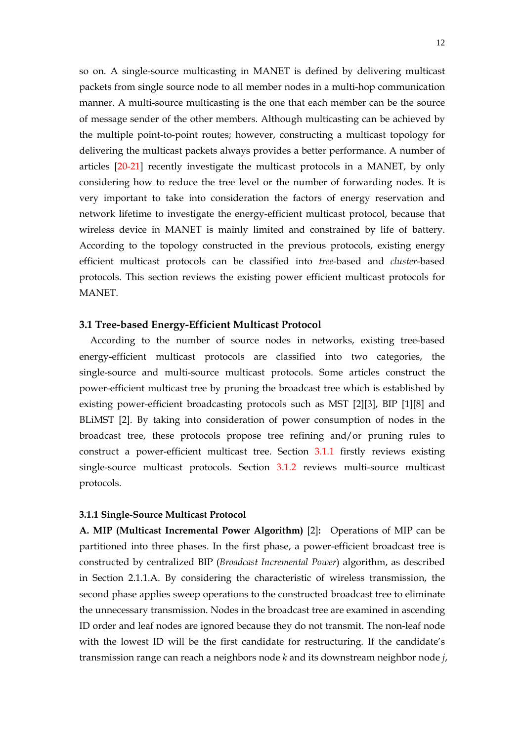so on. A single-source multicasting in MANET is defined by delivering multicast packets from single source node to all member nodes in a multi-hop communication manner. A multi-source multicasting is the one that each member can be the source of message sender of the other members. Although multicasting can be achieved by the multiple point-to-point routes; however, constructing a multicast topology for delivering the multicast packets always provides a better performance. A number of articles [20-21] recently investigate the multicast protocols in a MANET, by only considering how to reduce the tree level or the number of forwarding nodes. It is very important to take into consideration the factors of energy reservation and network lifetime to investigate the energy-efficient multicast protocol, because that wireless device in MANET is mainly limited and constrained by life of battery. According to the topology constructed in the previous protocols, existing energy efficient multicast protocols can be classified into *tree*-based and *cluster*-based protocols. This section reviews the existing power efficient multicast protocols for MANET.

## **3.1 Tree-based Energy-Efficient Multicast Protocol**

According to the number of source nodes in networks, existing tree-based energy-efficient multicast protocols are classified into two categories, the single-source and multi-source multicast protocols. Some articles construct the power-efficient multicast tree by pruning the broadcast tree which is established by existing power-efficient broadcasting protocols such as MST [2][3], BIP [1][8] and BLiMST [2]. By taking into consideration of power consumption of nodes in the broadcast tree, these protocols propose tree refining and/or pruning rules to construct a power-efficient multicast tree. Section 3.1.1 firstly reviews existing single-source multicast protocols. Section 3.1.2 reviews multi-source multicast protocols.

## **3.1.1 Single-Source Multicast Protocol**

**A. MIP (Multicast Incremental Power Algorithm)** [2]**:** Operations of MIP can be partitioned into three phases. In the first phase, a power-efficient broadcast tree is constructed by centralized BIP (*Broadcast Incremental Power*) algorithm, as described in Section 2.1.1.A. By considering the characteristic of wireless transmission, the second phase applies sweep operations to the constructed broadcast tree to eliminate the unnecessary transmission. Nodes in the broadcast tree are examined in ascending ID order and leaf nodes are ignored because they do not transmit. The non-leaf node with the lowest ID will be the first candidate for restructuring. If the candidate's transmission range can reach a neighbors node *k* and its downstream neighbor node *j*,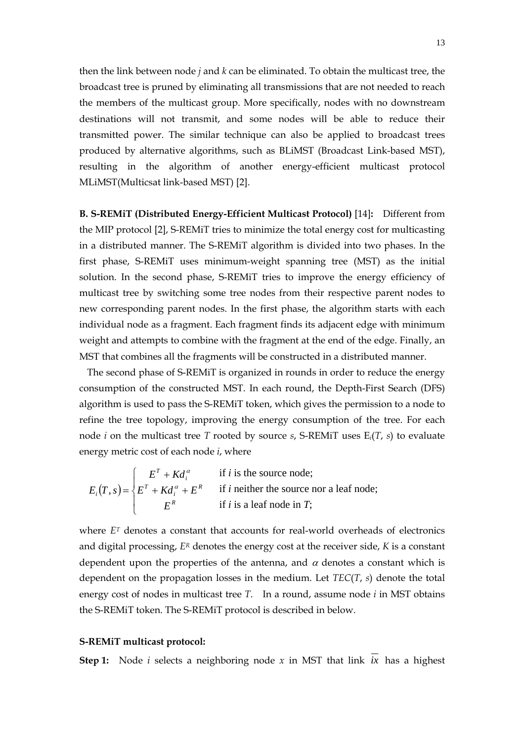then the link between node *j* and *k* can be eliminated. To obtain the multicast tree, the broadcast tree is pruned by eliminating all transmissions that are not needed to reach the members of the multicast group. More specifically, nodes with no downstream destinations will not transmit, and some nodes will be able to reduce their transmitted power. The similar technique can also be applied to broadcast trees produced by alternative algorithms, such as BLiMST (Broadcast Link-based MST), resulting in the algorithm of another energy-efficient multicast protocol MLiMST(Multicsat link-based MST) [2].

**B. S-REMiT (Distributed Energy-Efficient Multicast Protocol)** [14]**:** Different from the MIP protocol [2], S-REMiT tries to minimize the total energy cost for multicasting in a distributed manner. The S-REMiT algorithm is divided into two phases. In the first phase, S-REMiT uses minimum-weight spanning tree (MST) as the initial solution. In the second phase, S-REMiT tries to improve the energy efficiency of multicast tree by switching some tree nodes from their respective parent nodes to new corresponding parent nodes. In the first phase, the algorithm starts with each individual node as a fragment. Each fragment finds its adjacent edge with minimum weight and attempts to combine with the fragment at the end of the edge. Finally, an MST that combines all the fragments will be constructed in a distributed manner.

The second phase of S-REMiT is organized in rounds in order to reduce the energy consumption of the constructed MST. In each round, the Depth-First Search (DFS) algorithm is used to pass the S-REMiT token, which gives the permission to a node to refine the tree topology, improving the energy consumption of the tree. For each node *i* on the multicast tree *T* rooted by source *s*, S-REMiT uses E*i*(*T*, *s*) to evaluate energy metric cost of each node *i*, where

$$
E_i(T, s) = \begin{cases} E^T + K d_i^{\alpha} & \text{if } i \text{ is the source node;}\\ E^T + K d_i^{\alpha} + E^R & \text{if } i \text{ neither the source nor a leaf node;}\\ E^R & \text{if } i \text{ is a leaf node in } T; \end{cases}
$$

where *ET* denotes a constant that accounts for real-world overheads of electronics and digital processing, *ER* denotes the energy cost at the receiver side, *K* is a constant dependent upon the properties of the antenna, and  $\alpha$  denotes a constant which is dependent on the propagation losses in the medium. Let *TEC*(*T*, *s*) denote the total energy cost of nodes in multicast tree *T*. In a round, assume node *i* in MST obtains the S-REMiT token. The S-REMiT protocol is described in below.

#### **S-REMiT multicast protocol:**

**Step 1:** Node *i* selects a neighboring node *x* in MST that link *ix* has a highest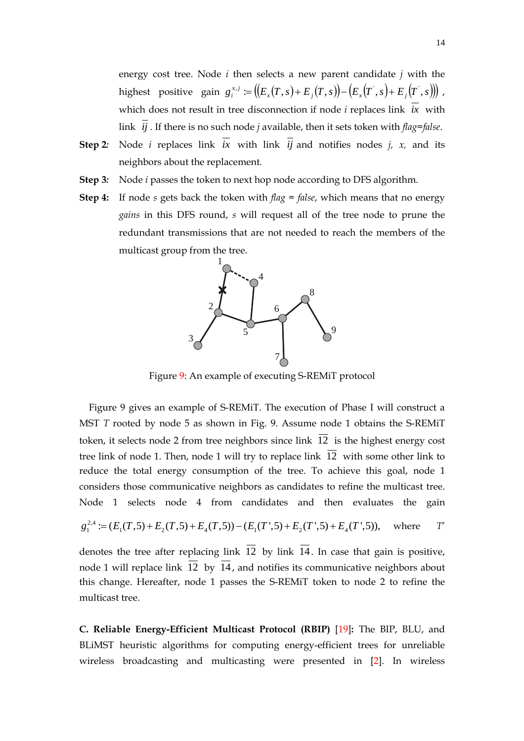energy cost tree. Node *i* then selects a new parent candidate *j* with the highest positive gain  $g_i^{x,j} := ((E_x(T,s) + E_j(T,s)) - (E_x(T',s) + E_j(T',s)))$ , which does not result in tree disconnection if node *i* replaces link *ix* with link  $\overline{ij}$ . If there is no such node *j* available, then it sets token with *flag=false*.

- **Step 2**: Node *i* replaces link  $\overline{ix}$  with link  $\overline{ij}$  and notifies nodes *j, x,* and its neighbors about the replacement.
- **Step 3***:*Node *i* passes the token to next hop node according to DFS algorithm.
- **Step 4:** If node *s* gets back the token with *flag* = *false*, which means that no energy *gains* in this DFS round, *s* will request all of the tree node to prune the redundant transmissions that are not needed to reach the members of the multicast group from the tree.



Figure 9: An example of executing S-REMiT protocol

Figure 9 gives an example of S-REMiT. The execution of Phase I will construct a MST *T* rooted by node 5 as shown in Fig. 9. Assume node 1 obtains the S-REMiT token, it selects node 2 from tree neighbors since link  $\overline{12}$  is the highest energy cost tree link of node 1. Then, node 1 will try to replace link 12 with some other link to reduce the total energy consumption of the tree. To achieve this goal, node 1 considers those communicative neighbors as candidates to refine the multicast tree. Node 1 selects node 4 from candidates and then evaluates the gain

$$
g_1^{2,4} := (E_1(T,5) + E_2(T,5) + E_4(T,5)) - (E_1(T',5) + E_2(T',5) + E_4(T',5)), \text{ where } T'
$$

denotes the tree after replacing link  $\overline{12}$  by link  $\overline{14}$ . In case that gain is positive, node 1 will replace link 12 by 14, and notifies its communicative neighbors about this change. Hereafter, node 1 passes the S-REMiT token to node 2 to refine the multicast tree.

**C. Reliable Energy-Efficient Multicast Protocol (RBIP)** [19]**:** The BIP, BLU, and BLiMST heuristic algorithms for computing energy-efficient trees for unreliable wireless broadcasting and multicasting were presented in [2]. In wireless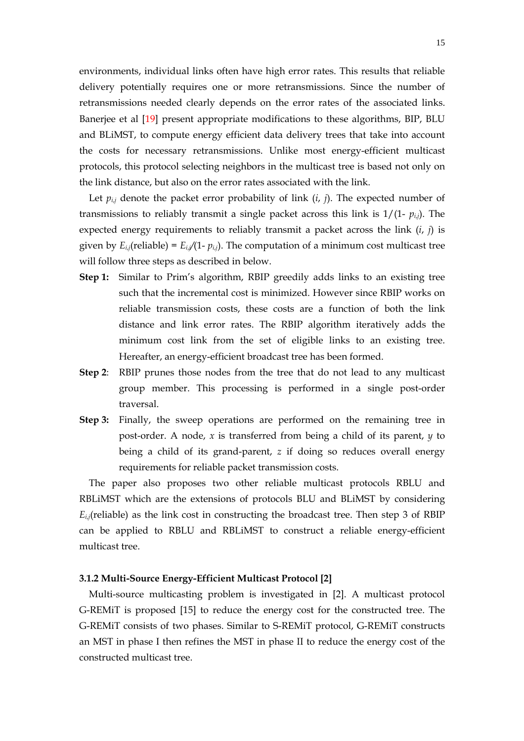environments, individual links often have high error rates. This results that reliable delivery potentially requires one or more retransmissions. Since the number of retransmissions needed clearly depends on the error rates of the associated links. Banerjee et al [19] present appropriate modifications to these algorithms, BIP, BLU and BLiMST, to compute energy efficient data delivery trees that take into account the costs for necessary retransmissions. Unlike most energy-efficient multicast protocols, this protocol selecting neighbors in the multicast tree is based not only on the link distance, but also on the error rates associated with the link.

Let  $p_{i,j}$  denote the packet error probability of link  $(i, j)$ . The expected number of transmissions to reliably transmit a single packet across this link is  $1/(1-p_{i,j})$ . The expected energy requirements to reliably transmit a packet across the link  $(i, j)$  is given by  $E_{i,j}$ (reliable) =  $E_{i,j}/(1-p_{i,j})$ . The computation of a minimum cost multicast tree will follow three steps as described in below.

- **Step 1:** Similar to Prim's algorithm, RBIP greedily adds links to an existing tree such that the incremental cost is minimized. However since RBIP works on reliable transmission costs, these costs are a function of both the link distance and link error rates. The RBIP algorithm iteratively adds the minimum cost link from the set of eligible links to an existing tree. Hereafter, an energy-efficient broadcast tree has been formed.
- **Step 2**: RBIP prunes those nodes from the tree that do not lead to any multicast group member. This processing is performed in a single post-order traversal.
- **Step 3:** Finally, the sweep operations are performed on the remaining tree in post-order. A node, *x* is transferred from being a child of its parent, *y* to being a child of its grand-parent, *z* if doing so reduces overall energy requirements for reliable packet transmission costs.

The paper also proposes two other reliable multicast protocols RBLU and RBLiMST which are the extensions of protocols BLU and BLiMST by considering  $E_{i,j}$ (reliable) as the link cost in constructing the broadcast tree. Then step 3 of RBIP can be applied to RBLU and RBLiMST to construct a reliable energy-efficient multicast tree.

## **3.1.2 Multi-Source Energy-Efficient Multicast Protocol [2]**

Multi-source multicasting problem is investigated in [2]. A multicast protocol G-REMiT is proposed [15] to reduce the energy cost for the constructed tree. The G-REMiT consists of two phases. Similar to S-REMiT protocol, G-REMiT constructs an MST in phase I then refines the MST in phase II to reduce the energy cost of the constructed multicast tree.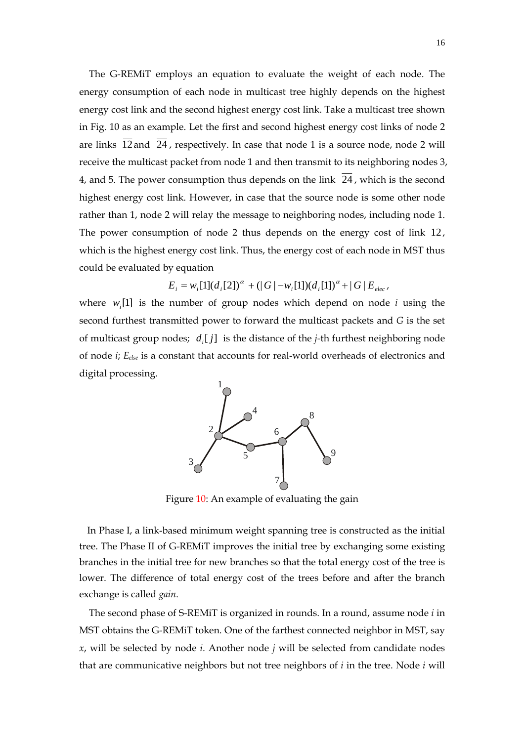The G-REMiT employs an equation to evaluate the weight of each node. The energy consumption of each node in multicast tree highly depends on the highest energy cost link and the second highest energy cost link. Take a multicast tree shown in Fig. 10 as an example. Let the first and second highest energy cost links of node 2 are links  $\overline{12}$  and  $\overline{24}$ , respectively. In case that node 1 is a source node, node 2 will receive the multicast packet from node 1 and then transmit to its neighboring nodes 3, 4, and 5. The power consumption thus depends on the link  $\overline{24}$ , which is the second highest energy cost link. However, in case that the source node is some other node rather than 1, node 2 will relay the message to neighboring nodes, including node 1. The power consumption of node 2 thus depends on the energy cost of link 12, which is the highest energy cost link. Thus, the energy cost of each node in MST thus could be evaluated by equation

$$
E_i = w_i[1](d_i[2])^{\alpha} + (|G| - w_i[1])(d_i[1])^{\alpha} + |G| E_{elec},
$$

where  $w_i[1]$  is the number of group nodes which depend on node *i* using the second furthest transmitted power to forward the multicast packets and *G* is the set of multicast group nodes; *d* [ *j*] *<sup>i</sup>* is the distance of the *j-*th furthest neighboring node of node *i*; *Eelse* is a constant that accounts for real-world overheads of electronics and digital processing.



Figure 10: An example of evaluating the gain

In Phase I, a link-based minimum weight spanning tree is constructed as the initial tree. The Phase II of G-REMiT improves the initial tree by exchanging some existing branches in the initial tree for new branches so that the total energy cost of the tree is lower. The difference of total energy cost of the trees before and after the branch exchange is called *gain*.

The second phase of S-REMiT is organized in rounds. In a round, assume node *i* in MST obtains the G-REMiT token. One of the farthest connected neighbor in MST, say *x*, will be selected by node *i*. Another node *j* will be selected from candidate nodes that are communicative neighbors but not tree neighbors of *i* in the tree. Node *i* will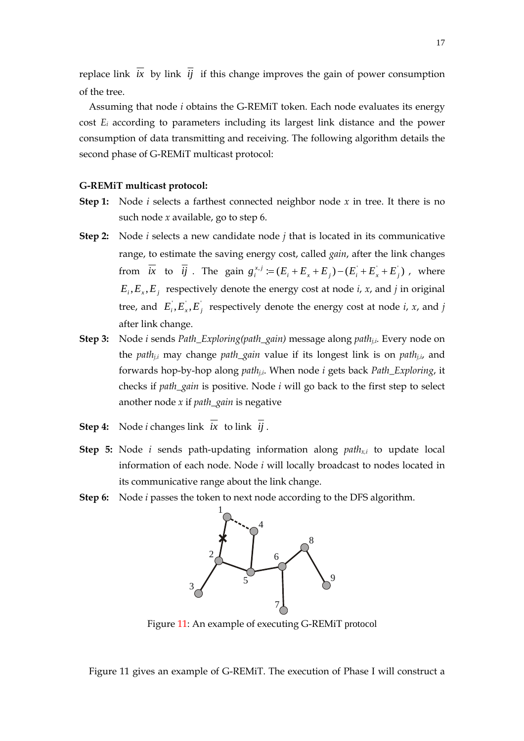replace link  $\overline{ix}$  by link  $\overline{ij}$  if this change improves the gain of power consumption of the tree.

Assuming that node *i* obtains the G-REMiT token. Each node evaluates its energy cost *Ei* according to parameters including its largest link distance and the power consumption of data transmitting and receiving. The following algorithm details the second phase of G-REMiT multicast protocol:

## **G-REMiT multicast protocol:**

- **Step 1:** Node *i* selects a farthest connected neighbor node *x* in tree. It there is no such node *x* available, go to step 6.
- **Step 2:** Node *i* selects a new candidate node *j* that is located in its communicative range, to estimate the saving energy cost, called *gain*, after the link changes from  $\overline{ix}$  to  $\overline{ij}$ . The gain  $g_i^{x,j} := (E_i + E_x + E_j) - (E_i + E_x + E_j)$ , where  $E_i, E_x, E_j$  respectively denote the energy cost at node *i*, *x*, and *j* in original tree, and  $E_i, E_x, E_j$  respectively denote the energy cost at node *i*, *x*, and *j* after link change.
- **Step 3:** Node *i* sends *Path\_Exploring(path\_gain)* message along *pathj,i.* Every node on the *pathj,i* may change *path\_gain* value if its longest link is on *pathj,i*, and forwards hop-by-hop along *pathj,i*. When node *i* gets back *Path\_Exploring*, it checks if *path\_gain* is positive. Node *i* will go back to the first step to select another node *x* if *path\_gain* is negative
- **Step 4:** Node *i* changes link  $\overline{ix}$  to link  $\overline{ij}$ .
- **Step 5:** Node *i* sends path-updating information along *pathx,i* to update local information of each node. Node *i* will locally broadcast to nodes located in its communicative range about the link change.
- **Step 6:** Node *i* passes the token to next node according to the DFS algorithm.



Figure 11: An example of executing G-REMiT protocol

Figure 11 gives an example of G-REMiT. The execution of Phase I will construct a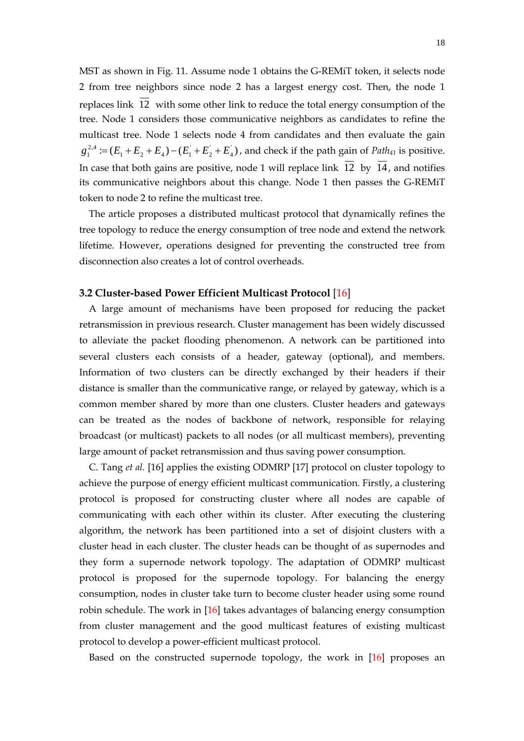MST as shown in Fig. 11. Assume node 1 obtains the G-REMiT token, it selects node 2 from tree neighbors since node 2 has a largest energy cost. Then, the node 1 replaces link  $\overline{12}$  with some other link to reduce the total energy consumption of the tree. Node 1 considers those communicative neighbors as candidates to refine the multicast tree. Node 1 selects node 4 from candidates and then evaluate the gain  $\coloneqq (E_1 + E_2 + E_4) - (E_1 + E_2 + E_4)$  $g_1^{2,4} := (E_1 + E_2 + E_4) - (E_1 + E_2 + E_4)$ , and check if the path gain of *Path*<sub>41</sub> is positive. In case that both gains are positive, node 1 will replace link  $\overline{12}$  by  $\overline{14}$ , and notifies its communicative neighbors about this change. Node 1 then passes the G-REMiT token to node 2 to refine the multicast tree.

The article proposes a distributed multicast protocol that dynamically refines the tree topology to reduce the energy consumption of tree node and extend the network lifetime. However, operations designed for preventing the constructed tree from disconnection also creates a lot of control overheads.

## **3.2 Cluster-based Power Efficient Multicast Protocol** [16]

A large amount of mechanisms have been proposed for reducing the packet retransmission in previous research. Cluster management has been widely discussed to alleviate the packet flooding phenomenon. A network can be partitioned into several clusters each consists of a header, gateway (optional), and members. Information of two clusters can be directly exchanged by their headers if their distance is smaller than the communicative range, or relayed by gateway, which is a common member shared by more than one clusters. Cluster headers and gateways can be treated as the nodes of backbone of network, responsible for relaying broadcast (or multicast) packets to all nodes (or all multicast members), preventing large amount of packet retransmission and thus saving power consumption.

C. Tang *et al.* [16] applies the existing ODMRP [17] protocol on cluster topology to achieve the purpose of energy efficient multicast communication. Firstly, a clustering protocol is proposed for constructing cluster where all nodes are capable of communicating with each other within its cluster. After executing the clustering algorithm, the network has been partitioned into a set of disjoint clusters with a cluster head in each cluster. The cluster heads can be thought of as supernodes and they form a supernode network topology. The adaptation of ODMRP multicast protocol is proposed for the supernode topology. For balancing the energy consumption, nodes in cluster take turn to become cluster header using some round robin schedule. The work in [16] takes advantages of balancing energy consumption from cluster management and the good multicast features of existing multicast protocol to develop a power-efficient multicast protocol.

Based on the constructed supernode topology, the work in [16] proposes an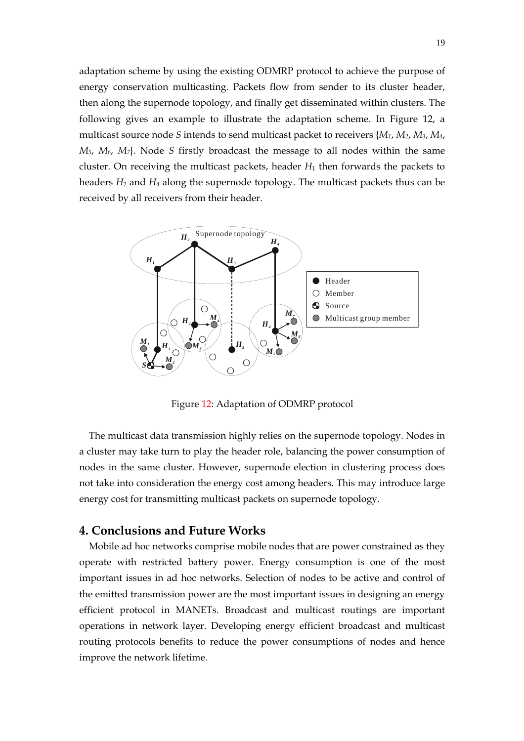adaptation scheme by using the existing ODMRP protocol to achieve the purpose of energy conservation multicasting. Packets flow from sender to its cluster header, then along the supernode topology, and finally get disseminated within clusters. The following gives an example to illustrate the adaptation scheme. In Figure 12, a multicast source node *S* intends to send multicast packet to receivers {*M1*, *M2*, *M3*, *M4*, *M5*, *M6*, *M7*}. Node *S* firstly broadcast the message to all nodes within the same cluster. On receiving the multicast packets, header *H*1 then forwards the packets to headers  $H_2$  and  $H_4$  along the supernode topology. The multicast packets thus can be received by all receivers from their header.



Figure 12: Adaptation of ODMRP protocol

The multicast data transmission highly relies on the supernode topology. Nodes in a cluster may take turn to play the header role, balancing the power consumption of nodes in the same cluster. However, supernode election in clustering process does not take into consideration the energy cost among headers. This may introduce large energy cost for transmitting multicast packets on supernode topology.

## **4. Conclusions and Future Works**

Mobile ad hoc networks comprise mobile nodes that are power constrained as they operate with restricted battery power. Energy consumption is one of the most important issues in ad hoc networks. Selection of nodes to be active and control of the emitted transmission power are the most important issues in designing an energy efficient protocol in MANETs. Broadcast and multicast routings are important operations in network layer. Developing energy efficient broadcast and multicast routing protocols benefits to reduce the power consumptions of nodes and hence improve the network lifetime.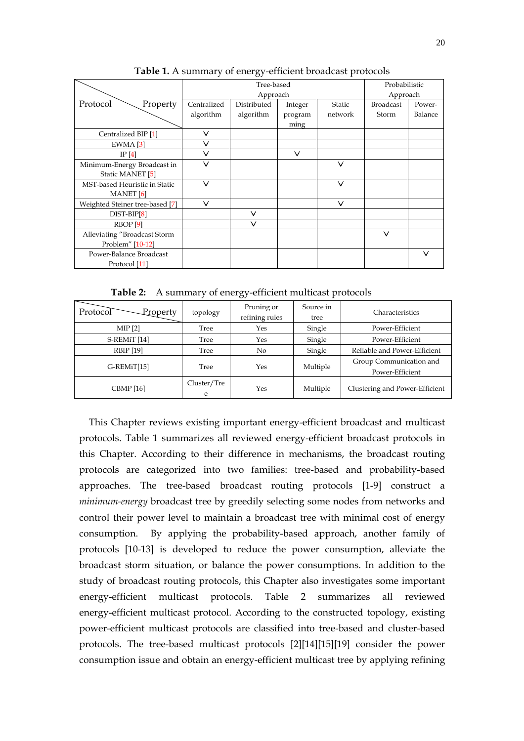|                                 |              | Probabilistic |         |               |                  |         |
|---------------------------------|--------------|---------------|---------|---------------|------------------|---------|
|                                 |              | Approach      |         |               |                  |         |
| Protocol<br>Property            | Centralized  | Distributed   | Integer | <b>Static</b> | <b>Broadcast</b> | Power-  |
|                                 | algorithm    | algorithm     | program | network       | Storm            | Balance |
|                                 |              |               | ming    |               |                  |         |
| Centralized BIP [1]             | ∨            |               |         |               |                  |         |
| $EWMA$ [3]                      | ∨            |               |         |               |                  |         |
| IP $[4]$                        | $\checkmark$ |               | $\vee$  |               |                  |         |
| Minimum-Energy Broadcast in     | $\checkmark$ |               |         | $\vee$        |                  |         |
| Static MANET [5]                |              |               |         |               |                  |         |
| MST-based Heuristic in Static   | $\checkmark$ |               |         | $\vee$        |                  |         |
| <b>MANET</b> [6]                |              |               |         |               |                  |         |
| Weighted Steiner tree-based [7] | ∨            |               |         | $\vee$        |                  |         |
| $DIST-BIP[8]$                   |              | $\checkmark$  |         |               |                  |         |
| RBOP <sub>[9]</sub>             |              | ∨             |         |               |                  |         |
| Alleviating "Broadcast Storm    |              |               |         |               | $\vee$           |         |
| Problem" [10-12]                |              |               |         |               |                  |         |
| Power-Balance Broadcast         |              |               |         |               |                  | $\vee$  |
| Protocol [11]                   |              |               |         |               |                  |         |

**Table 1.** A summary of energy-efficient broadcast protocols

**Table 2:** A summary of energy-efficient multicast protocols

| Protocol <sup>-</sup><br>Property | topology         | Pruning or<br>refining rules | Source in<br>tree | <b>Characteristics</b>                     |
|-----------------------------------|------------------|------------------------------|-------------------|--------------------------------------------|
| $MIP$ [2]                         | Tree             | Yes                          | Single            | Power-Efficient                            |
| S-REMiT [14]                      | Tree             | Yes                          | Single            | Power-Efficient                            |
| <b>RBIP</b> [19]                  | Tree             | N <sub>o</sub>               | Single            | Reliable and Power-Efficient               |
| G-REMiT[15]                       | Tree             | Yes                          | Multiple          | Group Communication and<br>Power-Efficient |
| <b>CBMP</b> [16]                  | Cluster/Tre<br>e | Yes                          | Multiple          | Clustering and Power-Efficient             |

This Chapter reviews existing important energy-efficient broadcast and multicast protocols. Table 1 summarizes all reviewed energy-efficient broadcast protocols in this Chapter. According to their difference in mechanisms, the broadcast routing protocols are categorized into two families: tree-based and probability-based approaches. The tree-based broadcast routing protocols [1-9] construct a *minimum-energy* broadcast tree by greedily selecting some nodes from networks and control their power level to maintain a broadcast tree with minimal cost of energy consumption. By applying the probability-based approach, another family of protocols [10-13] is developed to reduce the power consumption, alleviate the broadcast storm situation, or balance the power consumptions. In addition to the study of broadcast routing protocols, this Chapter also investigates some important energy-efficient multicast protocols. Table 2 summarizes all reviewed energy-efficient multicast protocol. According to the constructed topology, existing power-efficient multicast protocols are classified into tree-based and cluster-based protocols. The tree-based multicast protocols [2][14][15][19] consider the power consumption issue and obtain an energy-efficient multicast tree by applying refining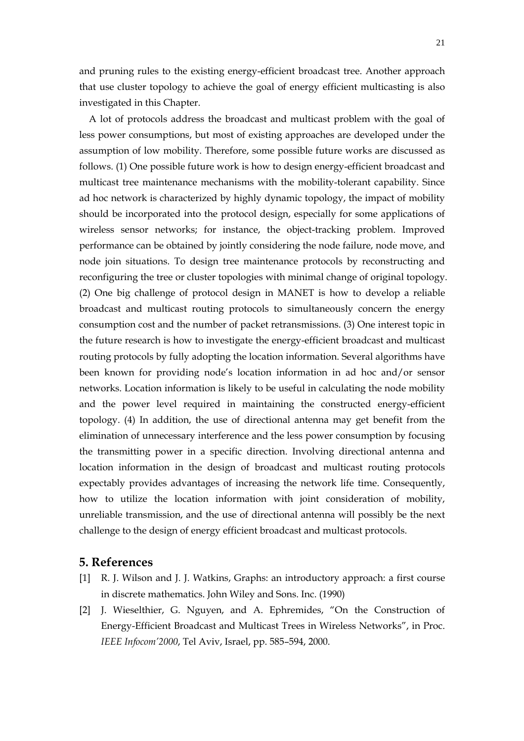and pruning rules to the existing energy-efficient broadcast tree. Another approach that use cluster topology to achieve the goal of energy efficient multicasting is also investigated in this Chapter.

A lot of protocols address the broadcast and multicast problem with the goal of less power consumptions, but most of existing approaches are developed under the assumption of low mobility. Therefore, some possible future works are discussed as follows. (1) One possible future work is how to design energy-efficient broadcast and multicast tree maintenance mechanisms with the mobility-tolerant capability. Since ad hoc network is characterized by highly dynamic topology, the impact of mobility should be incorporated into the protocol design, especially for some applications of wireless sensor networks; for instance, the object-tracking problem. Improved performance can be obtained by jointly considering the node failure, node move, and node join situations. To design tree maintenance protocols by reconstructing and reconfiguring the tree or cluster topologies with minimal change of original topology. (2) One big challenge of protocol design in MANET is how to develop a reliable broadcast and multicast routing protocols to simultaneously concern the energy consumption cost and the number of packet retransmissions. (3) One interest topic in the future research is how to investigate the energy-efficient broadcast and multicast routing protocols by fully adopting the location information. Several algorithms have been known for providing node's location information in ad hoc and/or sensor networks. Location information is likely to be useful in calculating the node mobility and the power level required in maintaining the constructed energy-efficient topology. (4) In addition, the use of directional antenna may get benefit from the elimination of unnecessary interference and the less power consumption by focusing the transmitting power in a specific direction. Involving directional antenna and location information in the design of broadcast and multicast routing protocols expectably provides advantages of increasing the network life time. Consequently, how to utilize the location information with joint consideration of mobility, unreliable transmission, and the use of directional antenna will possibly be the next challenge to the design of energy efficient broadcast and multicast protocols.

## **5. References**

- [1] R. J. Wilson and J. J. Watkins, Graphs: an introductory approach: a first course in discrete mathematics. John Wiley and Sons. Inc. (1990)
- [2] J. Wieselthier, G. Nguyen, and A. Ephremides, "On the Construction of Energy-Efficient Broadcast and Multicast Trees in Wireless Networks", in Proc. *IEEE Infocom'2000*, Tel Aviv, Israel, pp. 585–594, 2000.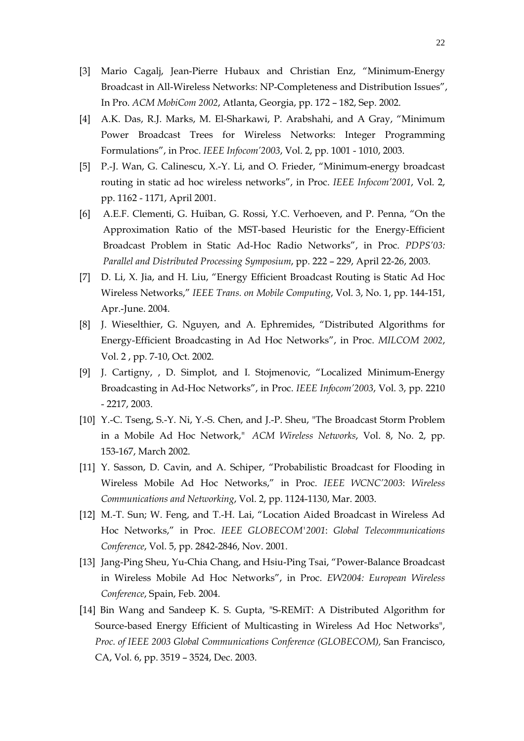- [3] Mario Cagalj, Jean-Pierre Hubaux and Christian Enz, "Minimum-Energy Broadcast in All-Wireless Networks: NP-Completeness and Distribution Issues", In Pro. *ACM MobiCom 2002*, Atlanta, Georgia, pp. 172 – 182, Sep. 2002.
- [4] A.K. Das, R.J. Marks, M. El-Sharkawi, P. Arabshahi, and A Gray, "Minimum Power Broadcast Trees for Wireless Networks: Integer Programming Formulations", in Proc. *IEEE Infocom'2003*, Vol. 2, pp. 1001 - 1010, 2003.
- [5] P.-J. Wan, G. Calinescu, X.-Y. Li, and O. Frieder, "Minimum-energy broadcast routing in static ad hoc wireless networks", in Proc. *IEEE Infocom'2001*, Vol. 2, pp. 1162 - 1171, April 2001.
- [6] A.E.F. Clementi, G. Huiban, G. Rossi, Y.C. Verhoeven, and P. Penna, "On the Approximation Ratio of the MST-based Heuristic for the Energy-Efficient Broadcast Problem in Static Ad-Hoc Radio Networks", in Proc. *PDPS'03: Parallel and Distributed Processing Symposium*, pp. 222 – 229, April 22-26, 2003.
- [7] D. Li, X. Jia, and H. Liu, "Energy Efficient Broadcast Routing is Static Ad Hoc Wireless Networks," *IEEE Trans. on Mobile Computing*, Vol. 3, No. 1, pp. 144-151, Apr.-June. 2004.
- [8] J. Wieselthier, G. Nguyen, and A. Ephremides, "Distributed Algorithms for Energy-Efficient Broadcasting in Ad Hoc Networks", in Proc. *MILCOM 2002*, Vol. 2 , pp. 7-10, Oct. 2002.
- [9] J. Cartigny, , D. Simplot, and I. Stojmenovic, "Localized Minimum-Energy Broadcasting in Ad-Hoc Networks", in Proc. *IEEE Infocom'2003*, Vol. 3, pp. 2210 - 2217, 2003.
- [10] Y.-C. Tseng, S.-Y. Ni, Y.-S. Chen, and J.-P. Sheu, "The Broadcast Storm Problem in a Mobile Ad Hoc Network," *ACM Wireless Networks*, Vol. 8, No. 2, pp. 153-167, March 2002.
- [11] Y. Sasson, D. Cavin, and A. Schiper, "Probabilistic Broadcast for Flooding in Wireless Mobile Ad Hoc Networks," in Proc. *IEEE WCNC'2003*: *Wireless Communications and Networking*, Vol. 2, pp. 1124-1130, Mar. 2003.
- [12] M.-T. Sun; W. Feng, and T.-H. Lai, "Location Aided Broadcast in Wireless Ad Hoc Networks," in Proc. *IEEE GLOBECOM'2001*: *Global Telecommunications Conference*, Vol. 5, pp. 2842-2846, Nov. 2001.
- [13] Jang-Ping Sheu, Yu-Chia Chang, and Hsiu-Ping Tsai, "Power-Balance Broadcast in Wireless Mobile Ad Hoc Networks", in Proc. *EW2004: European Wireless Conference*, Spain, Feb. 2004.
- [14] Bin Wang and Sandeep K. S. Gupta, "S-REMiT: A Distributed Algorithm for Source-based Energy Efficient of Multicasting in Wireless Ad Hoc Networks", *Proc. of IEEE 2003 Global Communications Conference (GLOBECOM), San Francisco,* CA, Vol. 6, pp. 3519 – 3524, Dec. 2003.